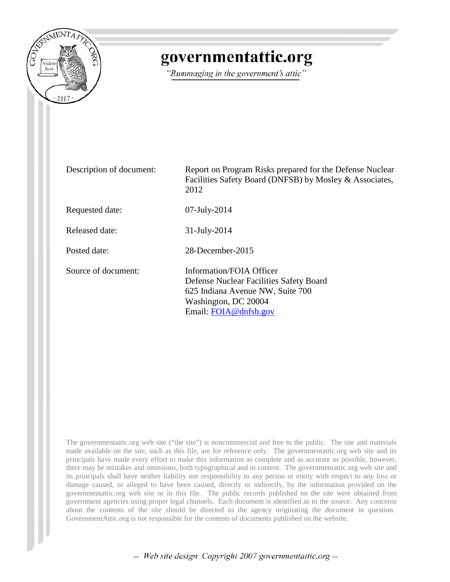

## governmentattic.org

"Rummaging in the government's attic"

| Description of document: | Report on Program Risks prepared for the Defense Nuclear<br>Facilities Safety Board (DNFSB) by Mosley & Associates,<br>2012                              |
|--------------------------|----------------------------------------------------------------------------------------------------------------------------------------------------------|
| Requested date:          | $07$ -July-2014                                                                                                                                          |
| Released date:           | $31$ -July-2014                                                                                                                                          |
| Posted date:             | 28-December-2015                                                                                                                                         |
| Source of document:      | Information/FOIA Officer<br>Defense Nuclear Facilities Safety Board<br>625 Indiana Avenue NW, Suite 700<br>Washington, DC 20004<br>Email: FOIA@dnfsb.gov |

The governmentattic.org web site ("the site") is noncommercial and free to the public. The site and materials made available on the site, such as this file, are for reference only. The governmentattic.org web site and its principals have made every effort to make this information as complete and as accurate as possible, however, there may be mistakes and omissions, both typographical and in content. The governmentattic.org web site and its principals shall have neither liability nor responsibility to any person or entity with respect to any loss or damage caused, or alleged to have been caused, directly or indirectly, by the information provided on the governmentattic.org web site or in this file. The public records published on the site were obtained from government agencies using proper legal channels. Each document is identified as to the source. Any concerns about the contents of the site should be directed to the agency originating the document in question. GovernmentAttic.org is not responsible for the contents of documents published on the website.

-- Web site design Copyright 2007 governmentattic.org --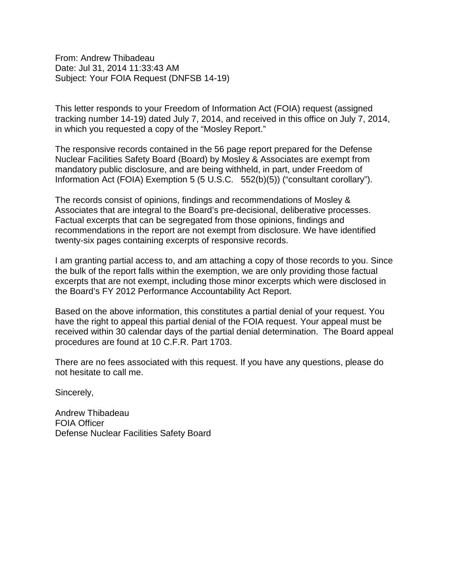From: Andrew Thibadeau Date: Jul 31, 2014 11:33:43 AM Subject: Your FOIA Request (DNFSB 14-19)

This letter responds to your Freedom of Information Act (FOIA) request (assigned tracking number 14-19) dated July 7, 2014, and received in this office on July 7, 2014, in which you requested a copy of the "Mosley Report."

The responsive records contained in the 56 page report prepared for the Defense Nuclear Facilities Safety Board (Board) by Mosley & Associates are exempt from mandatory public disclosure, and are being withheld, in part, under Freedom of Information Act (FOIA) Exemption 5 (5 U.S.C. 552(b)(5)) ("consultant corollary").

The records consist of opinions, findings and recommendations of Mosley & Associates that are integral to the Board's pre-decisional, deliberative processes. Factual excerpts that can be segregated from those opinions, findings and recommendations in the report are not exempt from disclosure. We have identified twenty-six pages containing excerpts of responsive records.

I am granting partial access to, and am attaching a copy of those records to you. Since the bulk of the report falls within the exemption, we are only providing those factual excerpts that are not exempt, including those minor excerpts which were disclosed in the Board's FY 2012 Performance Accountability Act Report.

Based on the above information, this constitutes a partial denial of your request. You have the right to appeal this partial denial of the FOIA request. Your appeal must be received within 30 calendar days of the partial denial determination. The Board appeal procedures are found at 10 C.F.R. Part 1703.

There are no fees associated with this request. If you have any questions, please do not hesitate to call me.

Sincerely,

Andrew Thibadeau FOIA Officer Defense Nuclear Facilities Safety Board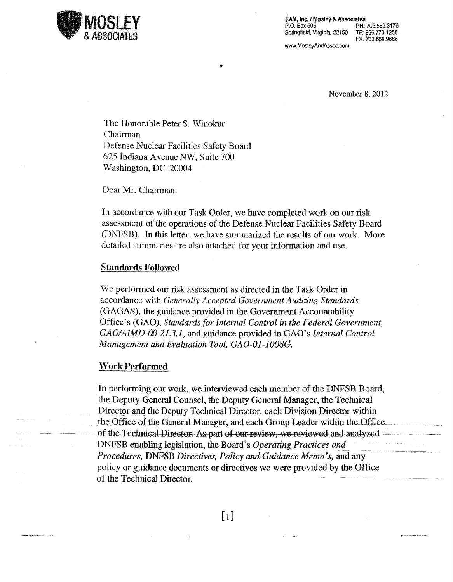

EAM, Inc. / Mosley & Associates PH: 703.569,3176 P.O. Box 506 Springfield, Virginia 22150 TF: 866.770.1255 FX: 703.569.9666

www.MosleyAndAssoc.com

November 8, 2012

The Honorable Peter S. Winokur Chairman Defense Nuclear Facilities Safety Board 625 Indiana Avenue NW, Suite 700 Washington, DC 20004

Dear Mr. Chairman:

In accordance with our Task Order, we have completed work on our risk assessment of the operations of the Defense Nuclear Facilities Safety Board (DNFSB). In this letter, we have summarized the results of our work. More detailed summaries are also attached for your information and use.

#### **Standards Followed**

We performed our risk assessment as directed in the Task Order in accordance with Generally Accepted Government Auditing Standards (GAGAS), the guidance provided in the Government Accountability Office's (GAO), Standards for Internal Control in the Federal Government, GAO/AIMD-00-21.3.1, and guidance provided in GAO's Internal Control Management and Evaluation Tool, GAO-01-1008G.

#### **Work Performed**

In performing our work, we interviewed each member of the DNFSB Board, the Deputy General Counsel, the Deputy General Manager, the Technical Director and the Deputy Technical Director, each Division Director within the Office of the General Manager, and each Group Leader within the Office of the Technical Director. As part of our review, we reviewed and analyzed DNFSB enabling legislation, the Board's Operating Practices and Procedures, DNFSB Directives, Policy and Guidance Memo's, and any policy or guidance documents or directives we were provided by the Office of the Technical Director.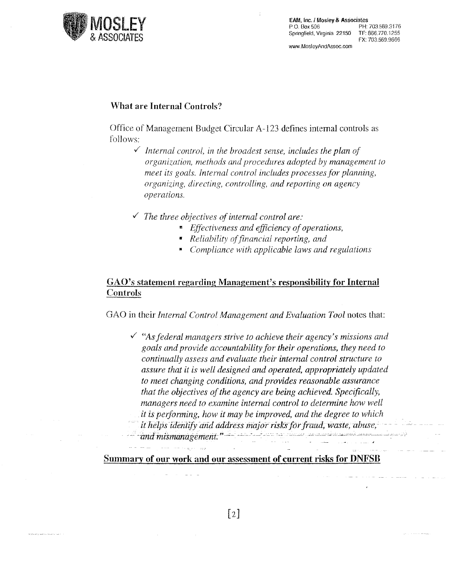

EAM; Inc. I Mosley & Associates<br>P.O. Box 506 PH: PH: 703.569.3176<br>TF: 866.770.1255 Springfield, Virginia 22150 FX: 703.569.9666 www.Mo\$leyAridAss0c.com

#### What are Internal Controls?

Office of Management Budget Circular A-123 defines internal controls as follows:

- $\checkmark$  Internal control, in the broadest sense, includes the plan of *organization, methods and procedures adopted by management to meet its goals. Internal control includes processes for planning, organizing, directing, controlling, and reporting on agency operations .*
- ./ *The three objectives of internal control are:* 
	- *Effectiveness and efficiency of operations,*
	- *Reliability of financial reporting, and*
	- *Compliance with applicable laws and regulations*

#### GAO's statement regarding Management's responsibility for Internal Controls

GAO in their *Internal* Control *Management* and *Evaluation Tool* notes that:

,/ *"As federal managers strive to achieve their agency's missions and goals and provide accountability for their operations, they need to continually assess and evaluate their internal coritrol structure to assure that it is well designed and operated, appropriately updated to meet changing canditions,* and *prov.ides reasonable assurance that the objectives of the agency are being achieved. Specifically; managers need to examine internal control to determine how well* it is performing, how it may be improved, and the degree to which it helps identify and address major risks for fraud, waste, abuse,  $and$  mismanagement."

Summary of our work and our assessment of current risks for DNFSB

i<br>Serika di Serika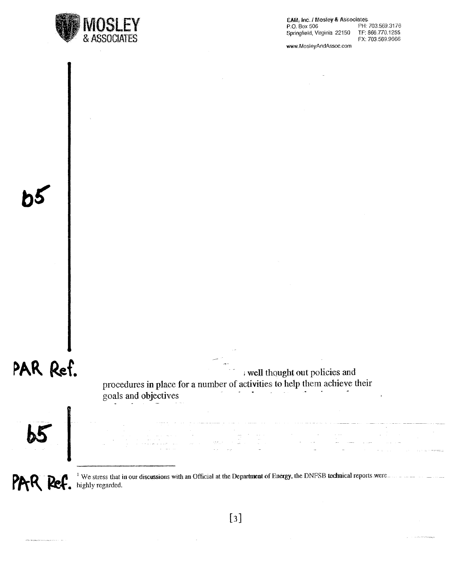

 $EAM$ , Inc. I Mosley & Associates<br>P.O. Box 506 P.H. P.H. 703.569.3176<br>TF: 866.770.1255 Springfield, Virginia 22150 FX: 703569.9666

www.MosleyAndAssoc.com

## PAR Ref.

; well thought out policies and procedures in place for a number of activities to help them achieve their goals and objectives



PAR Ref.

 $\Delta \mathbf{q}_1 \mathbf{a}_2 \mathbf{b}_3 \mathbf{b}_4 \mathbf{c}_5 \mathbf{a}_6 \mathbf{c}_5 \mathbf{c}_6 \mathbf{c}_7 \mathbf{c}_8 \mathbf{c}_7 \mathbf{c}_8 \mathbf{c}_7 \mathbf{c}_8 \mathbf{c}_8 \mathbf{c}_9$ 

 $<sup>1</sup>$  We stress that in our discussions with an Official at the Department of Energy, the DNFSB technical reports were</sup> highly regarded.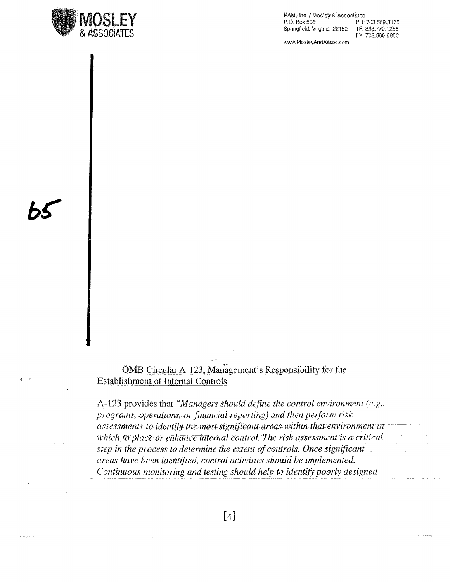

EAM, Inc. / Mosley & Associates P.O. Box 506 PH: 703.569.3176 Springfield, Virginia 22150 TF: 866.770.1255 FX: 703.569.9666

www.MosleyAndAssoc.com

OMB Circular A-123, Management's Responsibility for the **Establishment of Internal Controls** 

A-123 provides that "Managers should define the control environment (e.g., programs, operations, or financial reporting) and then perform risk. assessments to identify the most significant areas within that environment in which to place or enhance internal control. The risk assessment is a critical  $\Box$  step in the process to determine the extent of controls. Once significant areas have been identified, control activities should be implemented. Continuous monitoring and testing should help to identify poorly designed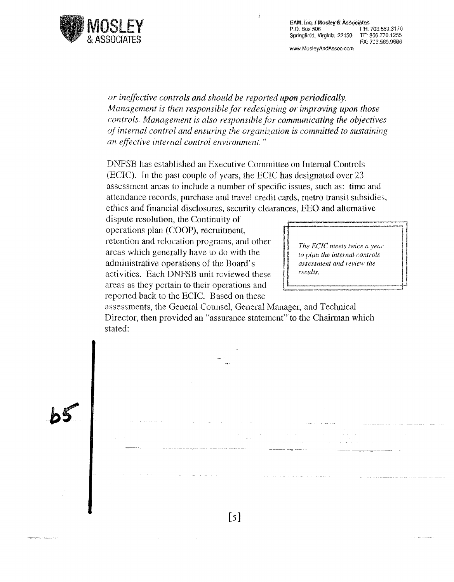

EAM, Inc. / Mosley & Associates<br> $P.O.$  Box 506 PH: Springfield, Virginia 22150

www.MosleyAndAssoc.com

PH: 703 569 3176<br>TF: 866 770 1255 FX: 703569.9666

*or ineffective controls and should be reported upon periodically. Management is then responsible for redesigning or improving upon those controls. Management is also responsible for communicating the objectives of internal control and ensuring the organization is committed to sustaining an effective internal control environment.* "

 $\ddot{\phantom{0}}$ 

DNFSB has established an Executive Committee on Internal Controls (ECIC). In the past couple of years, the ECIC has designated over 23 assessment areas to include a number of specific issues, such as: tirne and attendance records, purchase and travel credit cards, metro transit subsidies, ethics and financial disclosures, security clearances, EEO and alternative

dispute resolution, the Continuity of operations plan (COOP), recruitment, retention and relocation programs, and other areas which generally have to do with the administrative operations of the Board's activities. Each DNFSB unit reviewed these areas as they pertain to their operations and reported back to the ECIC. Based on these

 $\begin{minipage}{0.5cm} \begin{minipage}{0.5cm} \begin{tabular}{|c|c|c|c|} \hline \hline & \multicolumn{3}{|c|}{p}{\multicolumn{3}{|c|}{p}{\multicolumn{3}{|c|}{p}{\multicolumn{3}{|c|}{p}{\multicolumn{3}{|c|}{p}{\multicolumn{3}{|c|}{p}{\multicolumn{3}{|c|}{p}{\multicolumn{3}{|c|}{p}{\multicolumn{3}{|c|}{p}{\multicolumn{3}{|c|}{p}{\multicolumn{3}{|c|}{p}{\multicolumn{3}{|c|}{p}{\multicolumn{3}{|c|}{p}{\multicolumn$  $\left\{ \begin{array}{c} \end{array} \right\}$  The ECIC meets twice a year *The ECIC meets twice a year to plan the internal controls assessment and review the assessment and review the results.* !'--~~~~~~~~~-~:r

assessments, the General Counsel, General Manager, and Technical Director, then provided an "assurance statement" to the Chairman which stated:

-,,--------------- ---- --------- ------ ----- ---------- ---- --~------- - ---------------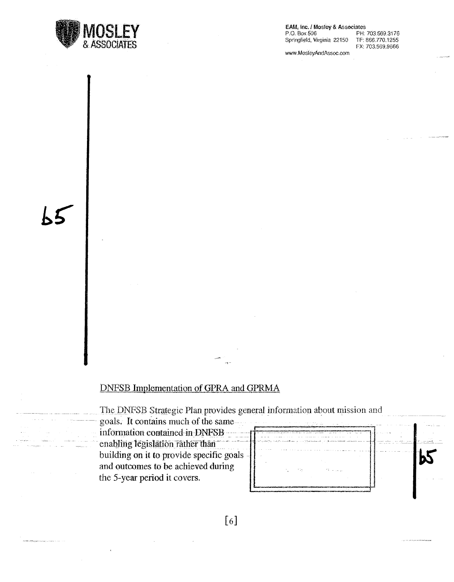

EAM, Inc. / Mosley & Associates

P.O. Box 506 Springfield, Virginia 22150

PH: 703.569.3176 TF: 866.770.1255 FX: 703.569.9666

www.MosleyAndAssoc.com

.<br>Theydernamento research

#### **DNFSB Implementation of GPRA and GPRMA**

The DNFSB Strategic Plan provides general information about mission and

goals. It contains much of the sameinformation contained in DNFSB enabling legislation rather than building on it to provide specific goals and outcomes to be achieved during the 5-year period it covers.



 $[6]$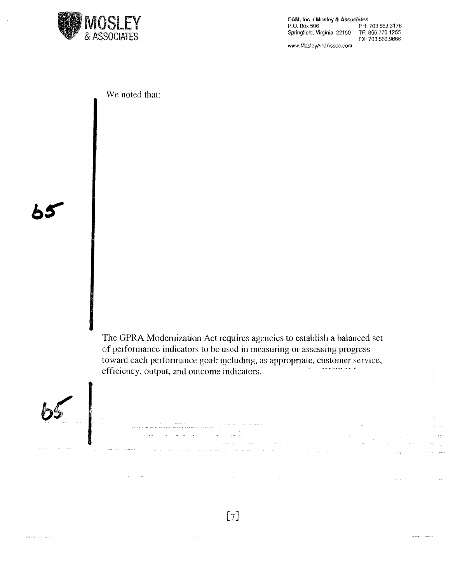

EAM, Inc. / Mosley & Associates P.O. Box 506 PH: 703.569.3176 Springfield, Virginia 22150 TF: 866.770.1255 FX: 703.569.9666 www.MosleyAndAssoc.com

We noted that:

The GPRA Modernization Act requires agencies to establish a balanced set of performance indicators to be used in measuring or assessing progress toward each performance goal, including, as appropriate, customer service, efficiency, output, and outcome indicators.



**WARE CONNECTIONS AND ALL TO A** 

 $\bar{\alpha}$ 

 $[7]$ 

erne.<br>Sport de la communicació de la construcció de la construcció de la construcció de la construcció de la constru<br>Sport de la communicació de la construcció de la construcció de la construcció de la construcció de la c

 $\label{eq:2.1} \begin{split} \mathcal{L}_{\text{max}}(\mathbf{r},\mathbf{r}) & = \mathcal{L}_{\text{max}}(\mathbf{r},\mathbf{r}) \\ & = \mathcal{L}_{\text{max}}(\mathbf{r},\mathbf{r}) + \mathcal{L}_{\text{max}}(\mathbf{r},\mathbf{r}) \end{split}$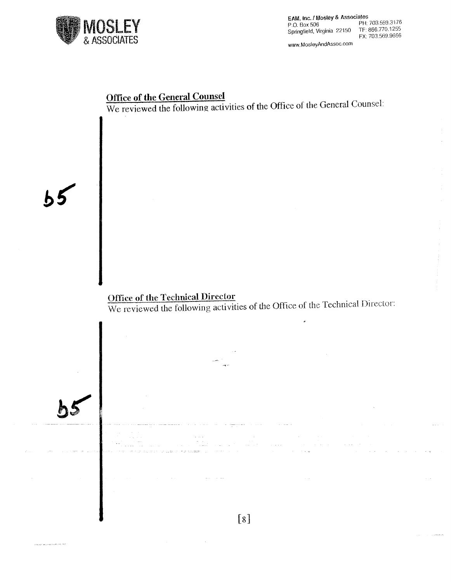

WNW. MosleyAndAssoc.com

#### **Office of the General Counsel**

We reviewed the following activities **of** the Office of the General Counsel:

**Office of the** Technical **Director**  We reviewed the following activities of the Office of the Technical Director:

.<br>البراط : http://www.com/anders.com/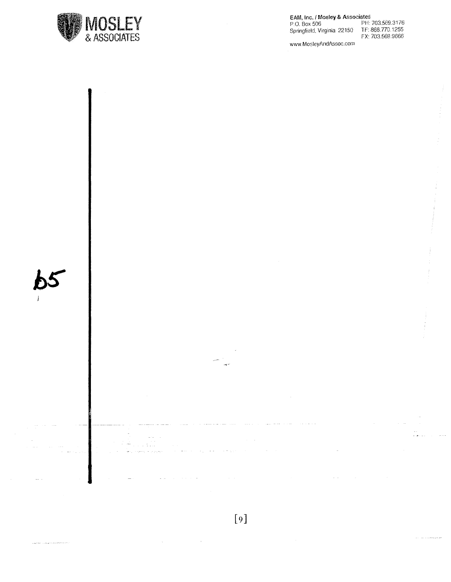

EAM, Inc. / Mosley & Associates<br>P.O. Box 506 PH: 703.569.3176<br>Springfield, Virginia 22150 TF: 866.770.1255<br>FX: 703.569.9666

www.MosleyAndAssoc.com

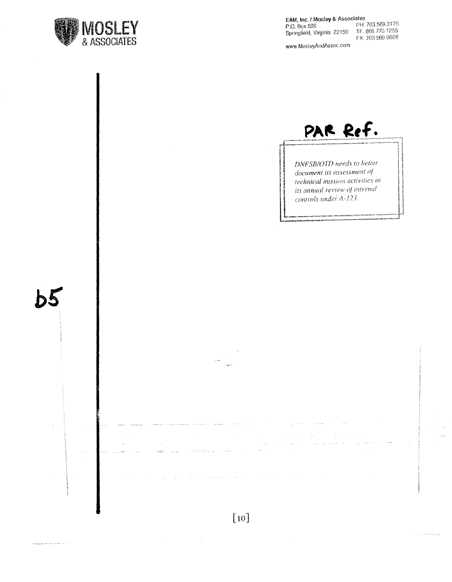![](_page_11_Picture_0.jpeg)

 $b5$ 

l,

www.MosleyAndAssoc.com

![](_page_11_Picture_3.jpeg)

DNFSB/OTD needs to better document its assessment of technical mission activities in its annual review of internal controls under A-123.

![](_page_11_Figure_5.jpeg)

 $\sim$   $\alpha$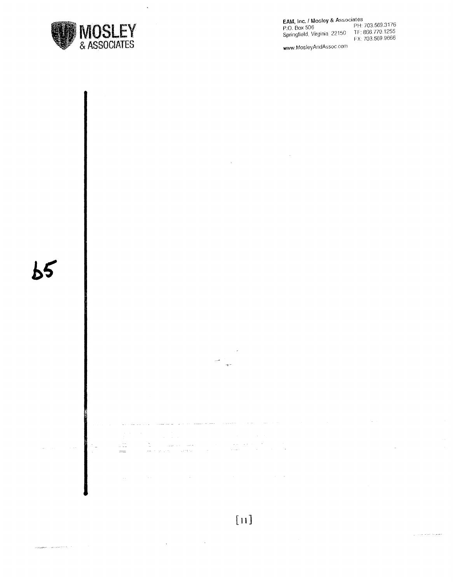![](_page_12_Picture_0.jpeg)

 $\ddot{\phantom{a}}$ 

#### **EAIIA,** Inc. *1* Mosley & Associat.;s P.O. Box 506 PH 703.569.3176

Springfield. Virginia 22150 TF: 866.770 1255 TF: 866.770.1255<br>FX: 703.569.9666

www. MosleyAndAssoc corn

![](_page_12_Figure_4.jpeg)

### [ **11]**

الحفظ والحاجب البريزياني  $\Delta \phi = 0.01$  and  $\phi = 0.01$ .<br>Bendar German (1991)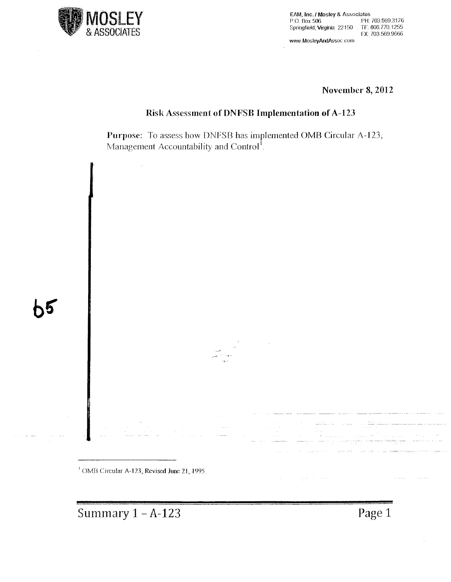![](_page_13_Picture_0.jpeg)

EAM, Inc. / Mosley & Associates<br>P.O. Box 506 PH: PH: 703.569.3176<br>TF: 866.770.1255 Springfield. Virginia 22150 FX: 703.569.9666 www.MosleyAndAssoc.com

**November 8, 2012** 

#### **Risk Assessment of DNFSB Implementation of A-123**

**Purpose:** To assess how DNFSB has implemented **OMB** Circular A-123, Management Accountability and Control<sup>1</sup>.

<sup>1</sup> OMB Circular A-123, Revised June 21, 1995.

Summary 1 – A-123 **Page 1**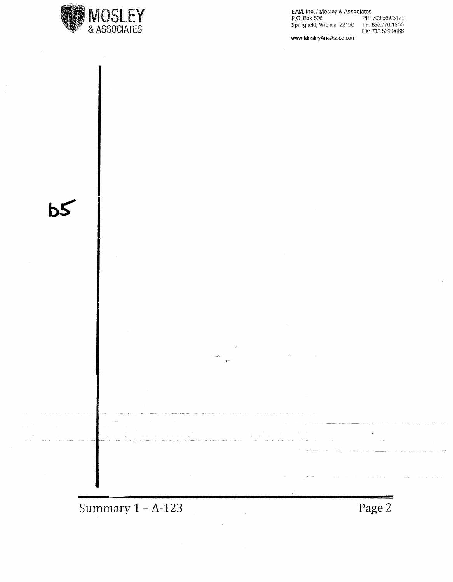![](_page_14_Picture_0.jpeg)

 $\overline{5}$ 

EAM, Inc. / Mosley & Associates<br>P.O. Box 506 PH:<br>Springfield, Virginia 22150 TF: 8 PH: 703.569.3176<br>TF: 866.770.1255<br>FX: 703.569.9666

www.MosleyAndAssoc.com

![](_page_14_Figure_3.jpeg)

![](_page_14_Figure_4.jpeg)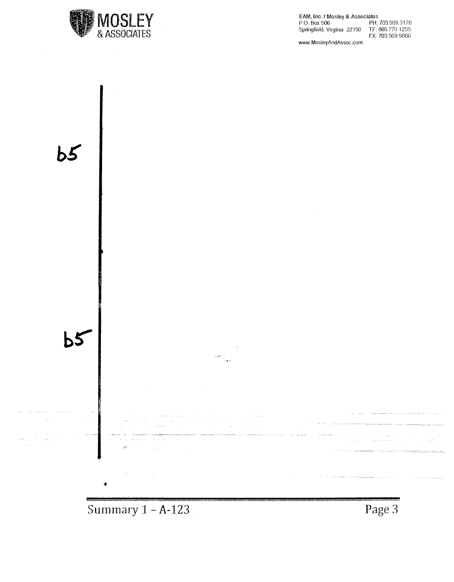![](_page_15_Picture_0.jpeg)

EAM, Inc. f Mosley & Associates P.O. Box 500 PH: 703.569 3176 Springfield. Virginia 22150 TF: 866.770.1255 FX 703.569.9666

www.MosleyAndAssoc.com

![](_page_15_Figure_3.jpeg)

**Summary 1 - A-123** 

**Page 3**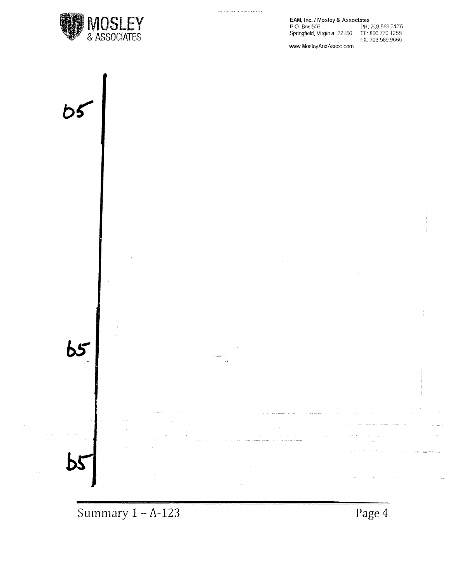![](_page_16_Picture_0.jpeg)

**EAM, Inc. / Mosley & Associates<br>P.O. Box 506 PH: 703.569.3176<br>Springfield, Virginia 22150 TF: 866.770.1255** p\_o\_ Box 506 PH: 703.569.3176

Springfieki, Virginia 22150 TF: 866. 770.1255 FX: 703.569.9666

www.MosteyAndAssoc.com

![](_page_16_Figure_4.jpeg)

 $\sim$  and  $\sim$   $\sim$   $-$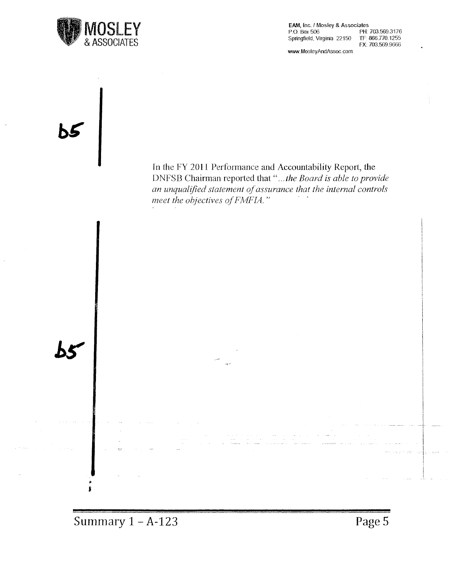![](_page_17_Picture_0.jpeg)

EAM, Inc. / Mosley & Associates<br>P.O. Box 506 PH: PH: 703.569,3176<br>TF: 866.770.1255 Springfield, Virginia 22150 FX: 703.569.9666

www.MosleyAndAssoc.com

![](_page_17_Figure_3.jpeg)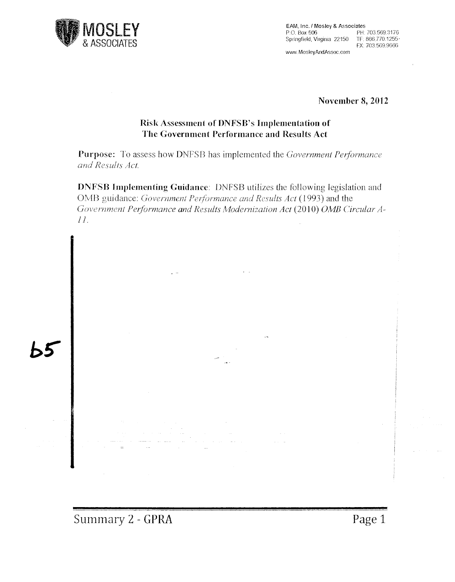![](_page_18_Picture_0.jpeg)

EAM, Inc. / Mosley & Associates<br>P.O. Box 506 PH: PH: 703.569.3176<br>TF: 866.770.1255 Springfield, Virginia 22150 FX: 703.569.9666

www.MosleyAndAssoc.com

**November 8, 2012** 

#### **Risk Assessment of DNFSB's Implementation of The Government Performance and Results Act**

**Purpose:** To assess how DNFSB has implemented the *Government Petformance and Results Act.* 

**DNFSB Implementing Guidance:** DNFSB utilizes the following legislation and OMB guidance: *Government Petformance and Results Act* (1993) and the Government Performance and Results Modernization Act (2010) OMB Circular A-*11.*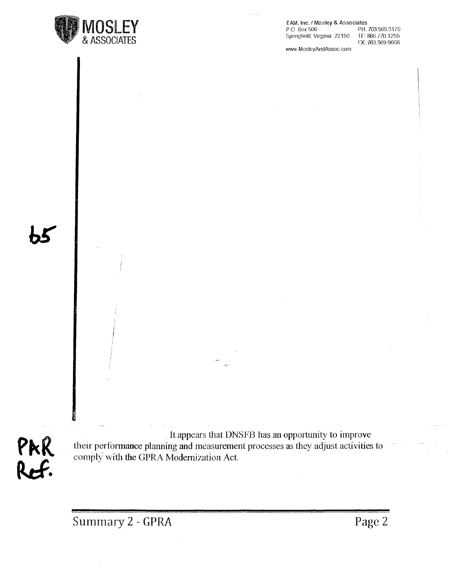![](_page_19_Picture_0.jpeg)

EAM, Inc. / Mosley & Associates<br>P.O. Box 506 PH:

Springfield, Virginia 22150

PH: 703.569.3176<br>TF: 866.770.1255 FX: 703.569.9666

www.MosleyAndAssoc\_com

It appears that DNSFB has an opportunity to improve their performance planning and measurement processes as they adjust activities to comply with the GPRA Modernization Act: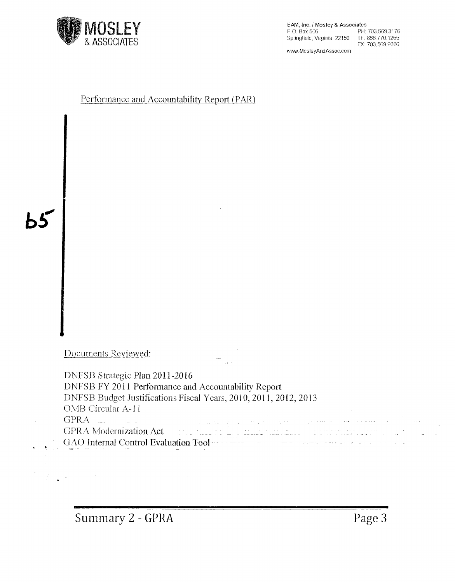![](_page_20_Picture_0.jpeg)

EAM, Inc. I Mosley & Associates P.O. Box 506 PH: 703.569.3176 Springfield. Virginia 22150 TF: 866.770.1255

FX: 703.569.9666

www.MosleyAndAssoc.com

#### Performance and Accountability Report (PAR)

 $b5$ 

 $\sim$   $\epsilon$ 

 $\label{eq:2.1} \begin{split} \frac{d\mathbf{r}}{dt} &= \frac{d\mathbf{r}}{dt} \left[ \frac{d\mathbf{r}}{dt} - \frac{d\mathbf{r}}{dt} \right] \left[ \frac{d\mathbf{r}}{dt} - \frac{d\mathbf{r}}{dt} \right] \, . \end{split}$ 

Documents Reviewed:

| DNFSB Strategic Plan 2011-2016                                                                                                                                                                                                                                                                              |
|-------------------------------------------------------------------------------------------------------------------------------------------------------------------------------------------------------------------------------------------------------------------------------------------------------------|
| DNFSB FY 2011 Performance and Accountability Report                                                                                                                                                                                                                                                         |
| DNFSB Budget Justifications Fiscal Years, 2010, 2011, 2012, 2013                                                                                                                                                                                                                                            |
| OMB Circular A-11                                                                                                                                                                                                                                                                                           |
| the control of the control of the control of the control of the con-<br>where $\rm GPRA$ . The contribution of the contribution of the contribution of the contribution of $\rm GPRA$ . The contribution of the contribution of the contribution of the contribution of the contribution of the contributio |
| GPRA Modernization Act in the material and material and material and contact the contact of                                                                                                                                                                                                                 |
| <b>Example 10 Second Second Second Evaluation Tool Contract Contract Contract Act of the Contract Control Evaluation Tool</b><br>100mm Andrew Monter House Andrew Monter House Andrew Monter House Andrew Monter Andrew Monter Andrew Monter An                                                             |

 $\leftarrow$ 

 $\sim$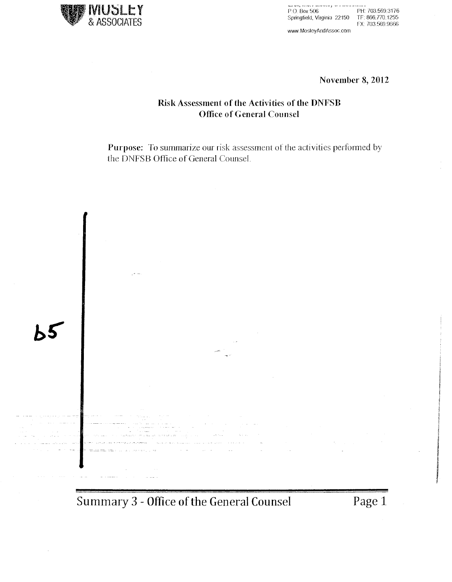![](_page_21_Picture_0.jpeg)

P.O. Box 506 PH: 703.569.3176<br>P.O. Box 506 PH: 703.569.3176 Springfield, Virginia 22150 FX 703 569.9666

www.MosleyAndAssoc.com

**November 8, 2012** 

#### **Risk Assessment of the Activities of the DNFSB Office of General Counsel**

**Purpose:** To summarize our risk assessment of the activities performed by the DNFSB Office of General Counsel.

![](_page_21_Picture_6.jpeg)

**Summary 3 - Office of the General Counsel Page 1** 

'

*I*  **ich Realissances**<br>Nati ,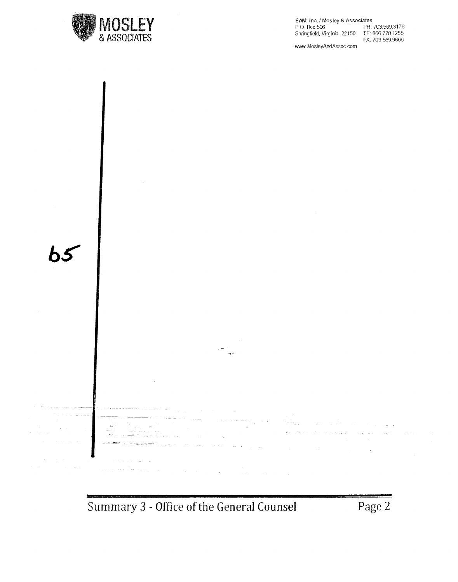![](_page_22_Picture_0.jpeg)

EAM, Inc. / Mosley & Associates<br>P.O. Box 506 PH: PH: 703.569.3176<br>TF: 866.770.1255 Springfield. Virginia 22150 FX: 703.569.9666 www.MosleyAndAssoc.com

 $b<sub>5</sub>$ - - ------- - -~-~-  $\frac{1}{4\pi} \rho_{\rm eff}$  $\bar{x}_{\rm eff}$  ... صامته والمحارب  $\frac{1}{2}$ 

**Summary 3 - Office of the General Counsel Page 2**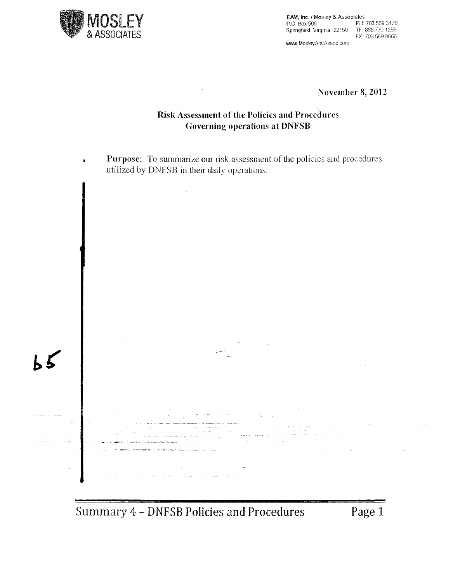![](_page_23_Picture_0.jpeg)

 $\bullet$ 

EAM, Inc./ Mosley & Associates P.O. Box 506 PH: 703.569.3176 Springfield. Virginia 22150 TF: 866 770.1255 FX: 703.569.9666 www.MosleyAndAssoc com

**November 8, 2012** 

#### \ **Risk Assessment of the Policies and Procedures Governing operations at DNFSB**

**Purpose:** To summarize **our** risk assessment of the policies and procedures utilized by DNFSB in **their** daily operations.

 $\mathbb{Z}^n$  $\ddot{\phantom{a}}$ بالأنا القديدة  $\label{eq:3} \mathcal{L} = \mathcal{L} \left( \mathcal{L} \right) \mathcal{L} \left( \mathcal{L} \right) \mathcal{L} \left( \mathcal{L} \right) \mathcal{L} \left( \mathcal{L} \right) \mathcal{L} \left( \mathcal{L} \right) \mathcal{L} \left( \mathcal{L} \right) \mathcal{L} \left( \mathcal{L} \right) \mathcal{L} \left( \mathcal{L} \right) \mathcal{L} \left( \mathcal{L} \right) \mathcal{L} \left( \mathcal{L} \right) \mathcal{L} \left( \mathcal{L} \right) \mathcal{L} \left$ 

Summary 4 - DNFSB Policies and Procedures Page 1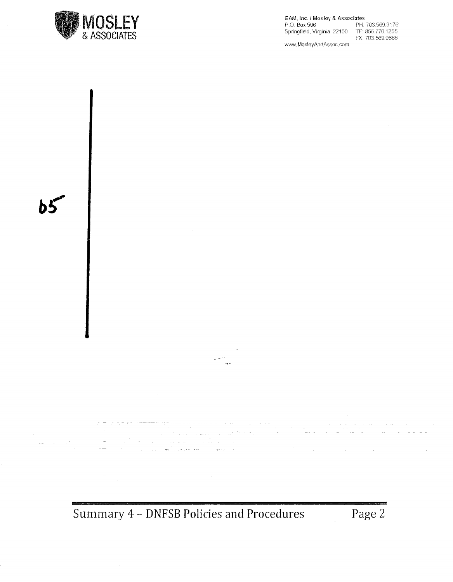![](_page_24_Picture_0.jpeg)

EAM, Inc. / Mosley & Associates<br>P.O. Box 506 PH: PH: 703.569.3176 Springfield, Virginia 22150 TF 866 770.1255 FX 703.569 9666 www. Mosley And Assoc .com

 $\bar{z}$ i postala su su su se del proporto por la proporta del pro . . ... . . . . . 동생이 나온 1<br>140 H an di sebagai kacamatan Sulawa Sulawa Sulawa Sulawa Sulawa Sulawa Sulawa Sulawa Sulawa Sulawa Sulawa Sulawa Su<br>Sulawa Sulawa Sulawa Sulawa Sulawa Sulawa Sulawa Sulawa Sulawa Sulawa Sulawa Sulawa Sulawa Sulawa Sulawa Sulaw  $\mathcal{O}(\frac{1}{2})$  . The mass  $\mathcal{O}(\frac{1}{2})$  is a simple of **College Colle** a (1956)<br>Santa Caracteria (1966) est explorado de la provincia<br>Santa Ca<del>racteria (1966) est</del> est est est esculto de la provincia (1966)  $\bar{\omega}$  . n la  $\sigma_{\rm{max}}$ 

**Summary 4 - DNFSB Policies and Procedures Page 2**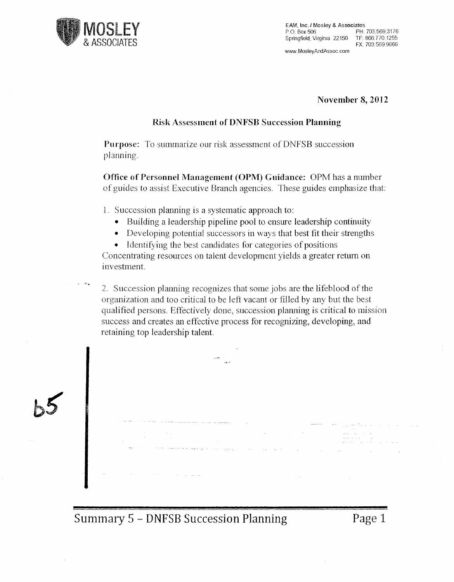![](_page_25_Picture_0.jpeg)

EAM, Inc. / Mosley & Associates<br>P.O. Box 506 PH: 703.569.3176 P 0. Box 506 PH: 703.569.3176 Springfield. Virginia 22150 TF: 866.770 1255

FX: 703.569.9666

www.MosleyAndAssoc.com

November 8, 2012

#### Risk Assessment of DNFSB Succession Planning

Purpose: To summarize our risk assessment of DNFSB succession planning.

Office of Personnel Management (OPM) Guidance: OPM has a number of guides to assist Executive Branch agencies. These guides emphasize that:

1. Succession planning is a systematic approach to:

- Building a leadership pipeline pool to ensure leadership continuity
- Developing potential successors in ways that best fit their strengths

• Identifying the best candidates for categories of positions Concentrating resources on talent development yields a greater return on investment

2. Succession planning recognizes that some jobs are the lifeblood of the organization and too critical to be left vacant or filled by any but the best qualified persons. Effectively done, succession planning is critical to mission success and creates an effective process for recognizing, developing, and retaining top leadership talent

Summary 5 - DNFSB Succession Planning Page 1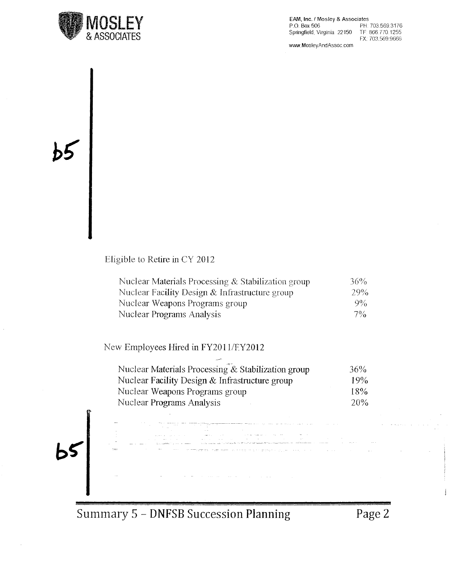![](_page_26_Picture_0.jpeg)

EAM, Inc. f Mosley & Associates P.O. Box 506 PH: 703.569.3176<br>Springfield, Virginia 22150 TF: 866.770.1255 Springfield, Virginia 22150 FX: 703.569.9666

www.MosleyAndAssoc.com

Eligible to Retire in CY 2012

| Nuclear Materials Processing & Stabilization group | 36%   |
|----------------------------------------------------|-------|
| Nuclear Facility Design $&$ Infrastructure group   | 29%   |
| Nuclear Weapons Programs group                     | $9\%$ |
| Nuclear Programs Analysis                          | $7\%$ |

New Employees Hired in FY201 l/EY2012

| Nuclear Materials Processing & Stabilization group | 36% |
|----------------------------------------------------|-----|
| Nuclear Facility Design & Infrastructure group     | 19% |
| Nuclear Weapons Programs group                     | 18% |
| Nuclear Programs Analysis                          | 20% |

an (1966) (1966)<br>Santa Amerikaanse partikul

 $b5$ 

Summary 5 - **DNFSB** Succession **Planning** Page2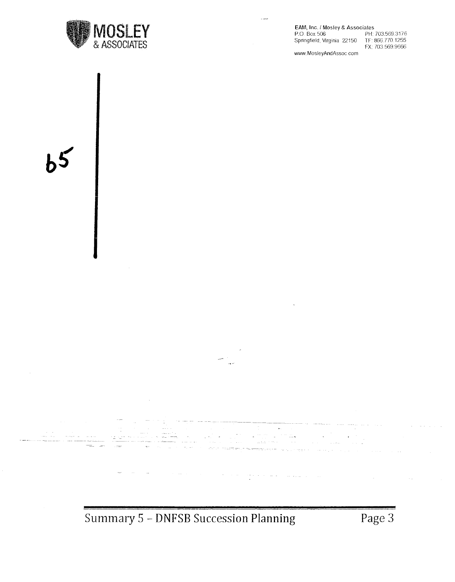![](_page_27_Picture_0.jpeg)

EAM, Inc. / Mosley & Associates<br>P.O. Box 506 PH:

Springfield, Virginia 22150.

PH: 703.569.3176<br>TF: 866.770.1255 FX: 703.569.9666

www.MosleyAndAssoc com

الدائكت

![](_page_27_Figure_6.jpeg)

 $\mathcal{A}^{\mathcal{A}}$  , and  $\mathcal{A}^{\mathcal{A}}$ 

 $\beta = \beta - \alpha - \alpha$ 

and Co

 $\sim$ 

 $\sim$   $\sim$ 

 $\mathcal{V}_{\text{max}}$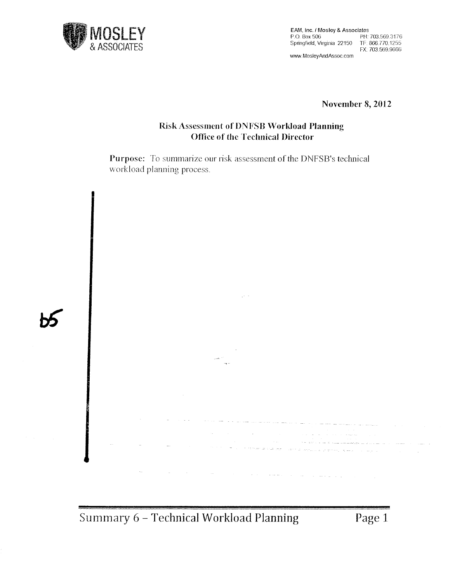![](_page_28_Picture_0.jpeg)

EAM, Inc. / Mosley & Associates<br>P.O. Box 506 PH: PH: 703,569.3176<br>TF: 866.770.1255 Springfield, Virginia 22150 FX: 703.569.9666 \_ www.MosleyAndAssoc.com

November 8, 2012

#### Risk Assessment of DNFSB Workload Planning Office of the Technical Director

Purpose: To summarize our risk assessment of the DNFSB's technical workload planning process.

![](_page_28_Picture_5.jpeg)

Summary 6 - Technical Workload Planning Page 1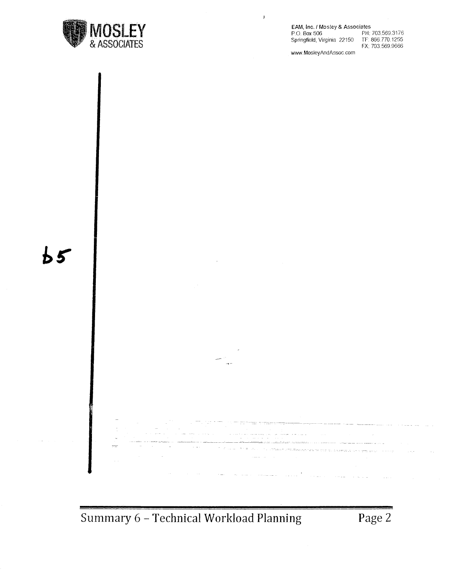![](_page_29_Picture_0.jpeg)

#### EAM, Inc. / Mosley & Associates<br>P.O. Box 506 PH:

Springfield, Virginia 22150

 $\bar{Y}$ 

PH: 703,569.3176<br>TF: 866,770.1255 FX: 703 569.9666

www.MosleyAndAssoc.com

![](_page_29_Figure_5.jpeg)

Summary 6 - Technical Workload Planning Page 2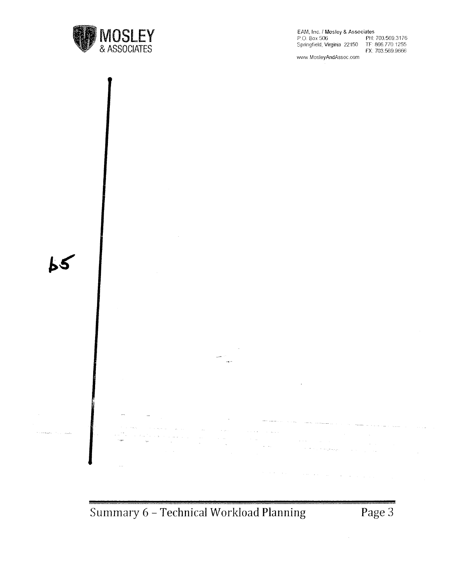![](_page_30_Picture_0.jpeg)

EAM, Inc. / Mosley & Associates<br>P.O. Box 506 PH:

Springfield, Virginia 22150

PH: 703.569.3176<br>TF: 866.770.1255 FX: 703.569.9666

www.MosleyAndAssoc.com

![](_page_30_Figure_5.jpeg)

**Summary 6 - Technical Workload Planning Page 3**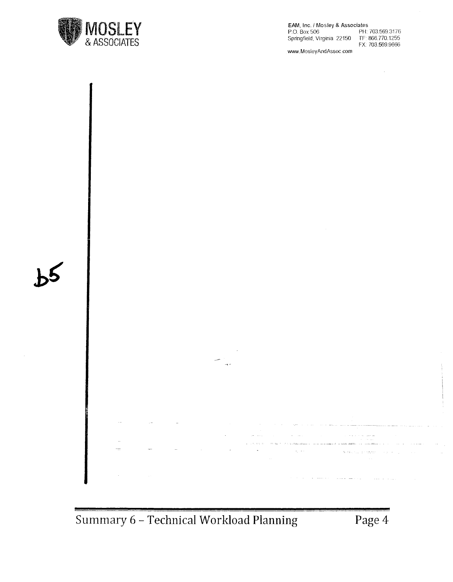![](_page_31_Picture_0.jpeg)

EAM, Inc. / Mosley & Associates<br>P.O. Box 506 PH: Springfield, Virginia 22150

PH: 703.569.3176 TF: 866.770.1255<br>FX: 703.569.9666

www.MosleyAndAssoc.com

![](_page_31_Figure_4.jpeg)

**Summary 6 -Technical Workload Planning Page4**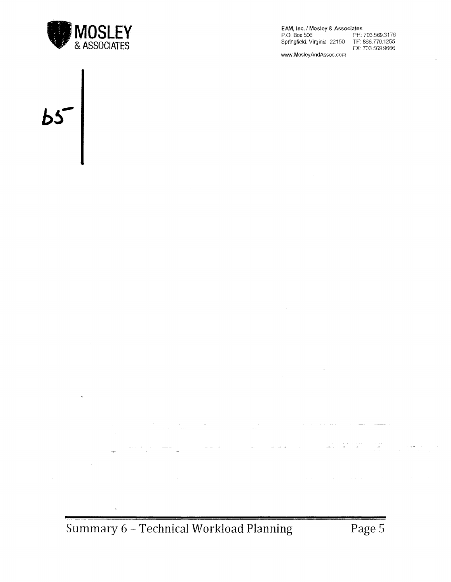![](_page_32_Picture_0.jpeg)

 $\hat{\boldsymbol{\beta}}$ 

 $\ddot{\phantom{0}}$ 

EAM, Inc. I Mosley & Associates P.O. Box 506 PH: 703.569.3176 Springfield, Virginia 22150 TF: 866.770.1255 FX: 703.569.9666

www.MosleyAndAssoc.com

 $\bar{A}$ 

# $\overline{b}$

 $\sim$ 

 $\sim$   $\sim$ 

 $\omega_{\rm{max}}$  .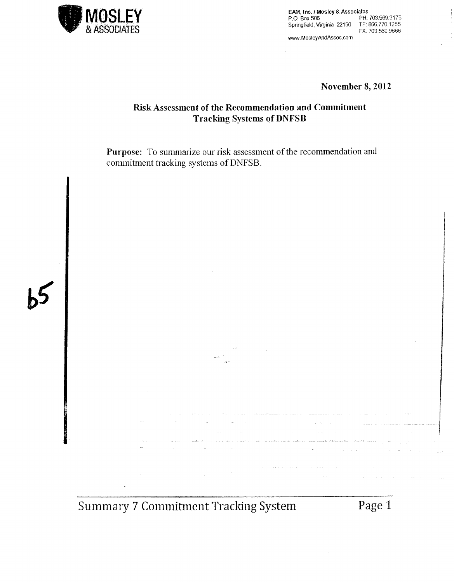![](_page_33_Picture_0.jpeg)

P.O. Box 506<br>P.O. Box 506 PH: 703.569.3176<br>Springfield, Virginia 22150 TF: 866.770.1255 EX ASSOCIATES **Springfield, Virginia 22150** TF: 866.770.1255<br>FX: 703.569.9666 FX: 703.569 9666 www.MosleyAndAssoc.com

**November 8, 2012** 

#### **Risk Assessment of the Recommendation and Commitment Tracking Systems QfDNFSB**

**Purpose:** To summarize our risk assessment of the recommendation and commitment tracking systems of DNFSB.

![](_page_33_Picture_5.jpeg)

**Summary 7 Commitment Tracking System Page 1** 

للسلافة وتقعسطا ساميان والمتقسرة هراما والعرضات  $\bar{\psi}$ 

 $\hat{f}^{(1)}_{\rm{max}}$  and  $\hat{f}^{(2)}_{\rm{max}}$  and  $\hat{f}^{(3)}_{\rm{max}}$  and  $\hat{f}^{(4)}_{\rm{max}}$  $\sim 10^6$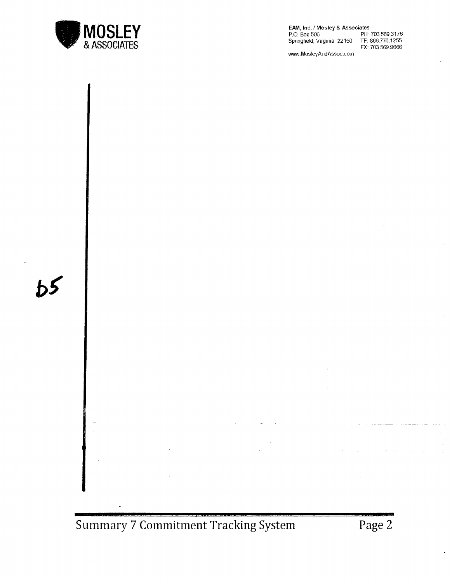![](_page_34_Picture_0.jpeg)

 $b<sup>5</sup>$ 

**EM'I,** Inc. f Mosley & Associates P.O. Box 506 PH: 703.569.3176 Springfield, Virginia 22150 TF: 866.770.1255<br>FX: 703.569.9666

www.MosleyAndAssoc.com

![](_page_34_Figure_3.jpeg)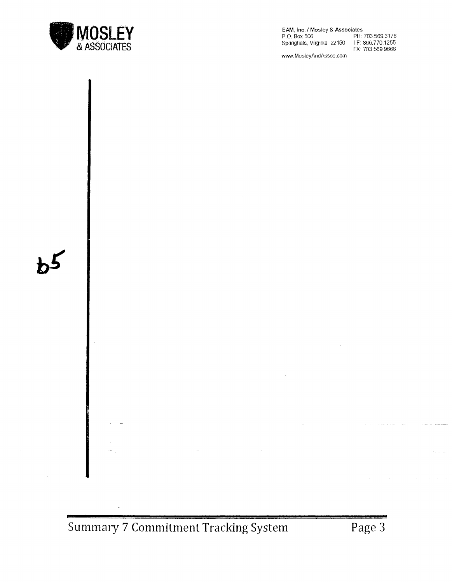![](_page_35_Picture_0.jpeg)

EAM, Inc./ Mosley & Associates P.O. Box 506 PH: 703.569.3176 Springfield, Virginia 22150 TF: 866.770.1255 FX: 703.569.9666

www.MosleyAndAssoc.com

![](_page_35_Figure_3.jpeg)

**Summary 7 Commitment Tracking System Page 3**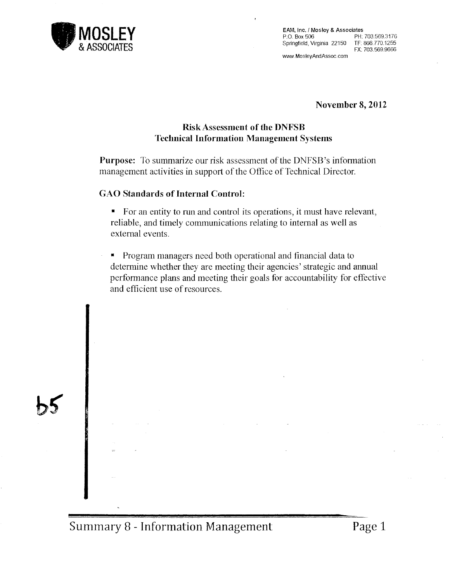![](_page_36_Picture_0.jpeg)

EAM, Inc. / Mosley & Associates<br>P.O. Box 506 PH: 703.569.3176 P.O. Box 506 PH: 703.569.3176 Springfield, Virginia 22150 TF: 866.770.1255 FX: 703.569.9666

www.MosleyAndAssoc.com

November 8, 2012

#### RiskAssessment of the DNFSB Technical Information Management Systems

Purpose: To summarize our risk assessment of the DNFSB's information management activities in support of the Office of Technical Director.

#### GAO Standards of Internal Control:

- For an entity to run and control its operations, it must have relevant, reliable, and timely communications relating to internal as well as external events.
- Program managers need both operational and financial data to determine whether they are meeting their agencies' strategic and annual performance plans and meeting their goals for accountability for effective and efficient use of resources.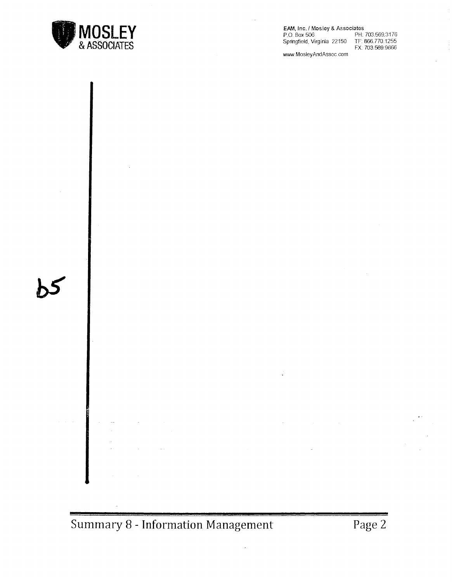![](_page_37_Picture_0.jpeg)

EAM, Inc. I Mosley & Associates P.O. Box 506 PH: 703.569.3176 Springfield, Virginia 22150 TF: 866.770.1255

FX: 703.569.9666

www.MosleyAndAssoc.com

![](_page_37_Figure_4.jpeg)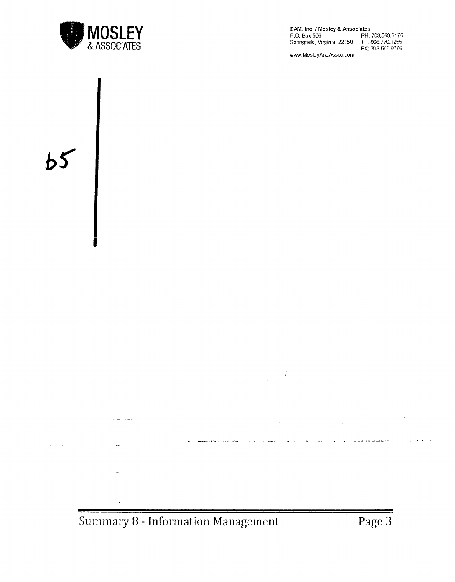![](_page_38_Picture_0.jpeg)

EAM, Inc. / Mosley & Associates<br>P.O. Box 506 PH. PH: 703,569.3176<br>TF: 866.770,1255 Springfield, Virginia 22150 FX: 703.569.9666

www.MosleyAndAssoc.com

![](_page_38_Figure_3.jpeg)

**Summary 8 - Information Management**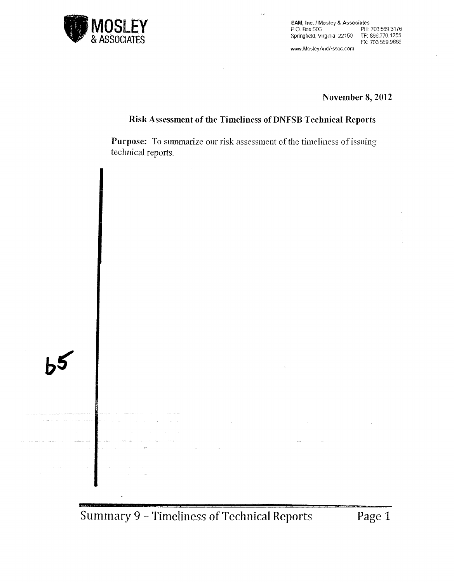![](_page_39_Picture_0.jpeg)

EAM, Inc. / Mosley & Associates<br>P.O. Box 506 PH: 703.569.3176 P.O. Box 506 PH: 703569.3176 Springfield. Virginia 22150 TF: 866.770.1255 FX: 703 569.9666

www.MosleyAndAssoc.com

**November 8, 2012** 

#### **Risk Assessment of the Timeliness of DNFSB Technical Reports**

 $\ddot{\phantom{0}}$ 

**Purpose:** To summarize our risk assessment of the timeliness of issuing technical reports.

**Summary 9 - Timeliness of Technical Reports Page 1**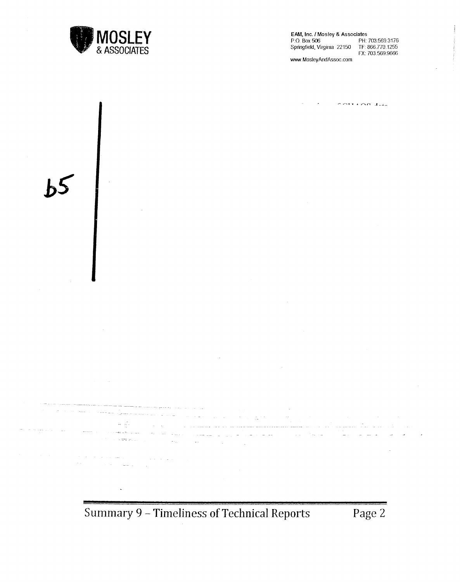![](_page_40_Picture_0.jpeg)

الهبو وممتع والمتحادث

EAM, Inc. / Mosley & Associates<br>P.O. Box 506 PH: PH: 703.569.3176<br>TF: 866.770.1255 Springfield, Virginia 22150 FX: 703.569.9666

www.MosleyAndAssoc.com

 $\sim \sim \sim 100 \text{ Hz}$ 

**Summary 9 - Timeliness of Technical Reports Page 2** 

 $\sim 10^{11}$ 

kan a sa sa

أدعان يرديني المستعملات

 $\sim$  44  $\sim$   $\sim$   $\sim$   $\sim$ 

 $\omega_{\rm{eff}}$  ,  $\omega_{\rm{eff}}$  and

and the same frequent

line (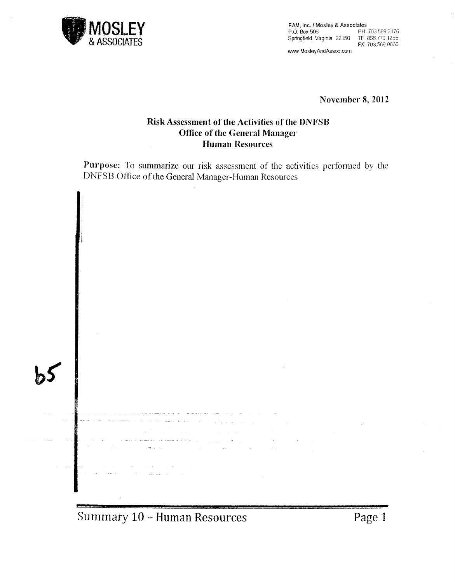![](_page_41_Picture_0.jpeg)

EAM, Inc. / Mosley & Associates<br>P.O. Box 506 PH: Springfield. Virginia 22150 TF: 866.770.1255

PH: 703.569.3176 FX: 703.569.9666

www.MosleyAndAssoc.com

**November 8, 2012** 

#### **Risk Assessment of the Activities of the DNFSB Office of the General Manager Human Resources**

**Purpose:** To summarize our risk assessment of the activities performed by the DNFSB Office of the General Manager-Human Resources

![](_page_41_Figure_7.jpeg)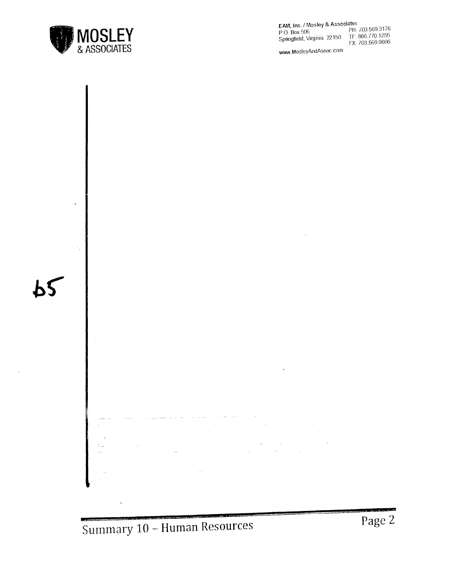![](_page_42_Picture_0.jpeg)

EAM, Inc. / Mosley & Associates<br>P.O. Box 506 PH: Springfield, Virginia 22150

PH: 703.569.3176<br>TF: 866.770.1255 FX: 703.569.9666

www.MosleyAndAssoc.com

![](_page_42_Figure_4.jpeg)

**Summary 10 - Human Resources** 

**Page 2**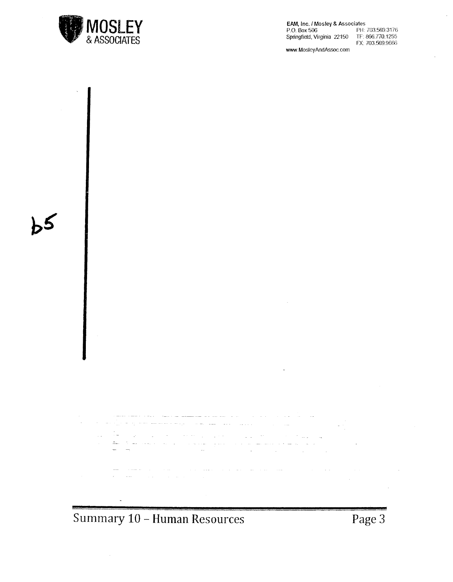![](_page_43_Picture_0.jpeg)

**EAM, Inc. / Mosley & Associates<br>P.O. Box 506 PH:** Springfield, Virginia 22150

pH: 703,569.3176<br>TF: 866.770.1255 FX: 703,569.9666

 $\bar{\epsilon}$ 

ä,

www.MosleyAndAssoc.com

المرجود والمنادر والمتداد مطلب المتعاطف المجاري والمحجم والمستحدث  $\Delta \Delta \phi = 0.0001$  $\sim 10^{11}$  and  $\sim 10^{11}$  $\ddot{\phantom{a}}$ 

المنابي المتواطن وساكست

ا المسافر المدين المعالج المدين المدين المدينة.<br>من عبد المستحدة المساسر المدين المدينة المدينة المدينة

 $\sim$ 

**Summary 10 - Human Resources** 

í4

 $\frac{1}{\sqrt{2}}\frac{1}{\sqrt{2}}$  .

 $\sim$ 

 $\frac{1}{\sqrt{2}}\sum_{i=1}^{N} \frac{1}{i} \sum_{j=1}^{N} \frac{1}{j} \sum_{j=1}^{N} \frac{1}{j} \sum_{j=1}^{N} \frac{1}{j} \sum_{j=1}^{N} \frac{1}{j} \sum_{j=1}^{N} \frac{1}{j} \sum_{j=1}^{N} \frac{1}{j} \sum_{j=1}^{N} \frac{1}{j} \sum_{j=1}^{N} \frac{1}{j} \sum_{j=1}^{N} \frac{1}{j} \sum_{j=1}^{N} \frac{1}{j} \sum_{j=1}^{N} \frac{1}{j} \sum_{j=1$ 

 $\sim$   $\sim$ 

المتحدث المحفور السفار الشاعر والمراجل والمحاسب للمقاط للمعاون والشراري المراكب

**Page3**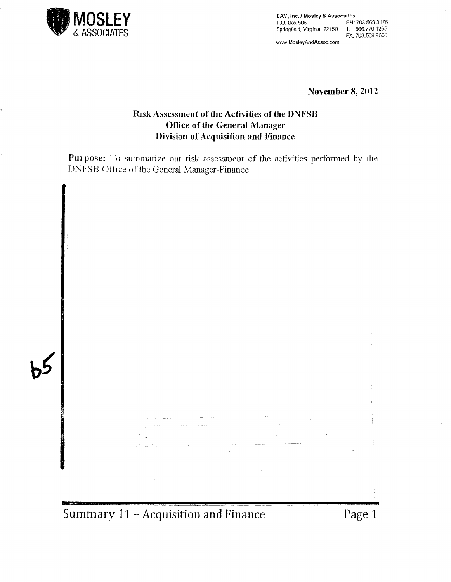![](_page_44_Picture_0.jpeg)

EAM, Inc. / Mosley & Associates<br>P.O. Box 506 PH: 703.569.3176 P.O Box 506 PH: 703.569.3176 Springfield, Virginia 22150 TF: 866.770.1255 FX: 703.569.9666 www.MosleyAndAssoc.com

**November 8, 2012** 

#### **Risk Assessment of the Activities of the DNFSB Office of the General Manager Division of Acquisition and Finance**

**Purpose:** To summarize our risk assessment of the activities performed by the DNFSB Office of the General Manager-Finance

![](_page_44_Figure_5.jpeg)

**Summary 11 - Acquisition and Finance Page 1**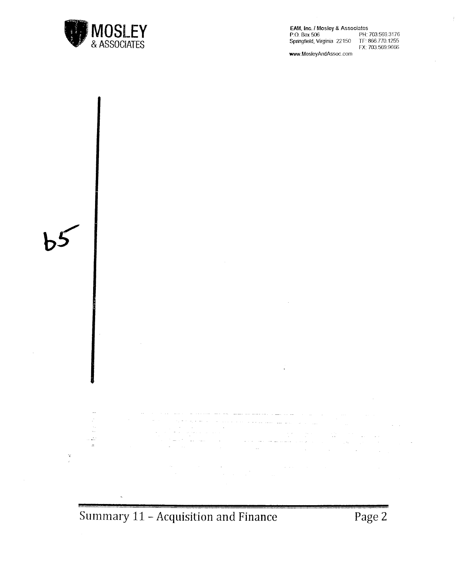![](_page_45_Picture_0.jpeg)

**EAM, Inc./ Mosley & Associates<br>P.O. Box 506 PH:** PH: 703.569.3176 Springfield, Virginia 22150 TF: 866.770.1255<br>FX: 703.569.9666

 $\mathcal{L}$ 

WNN.MosleyAndAssoc.com

![](_page_45_Figure_3.jpeg)

**Summary 11-Acquisition and Finance**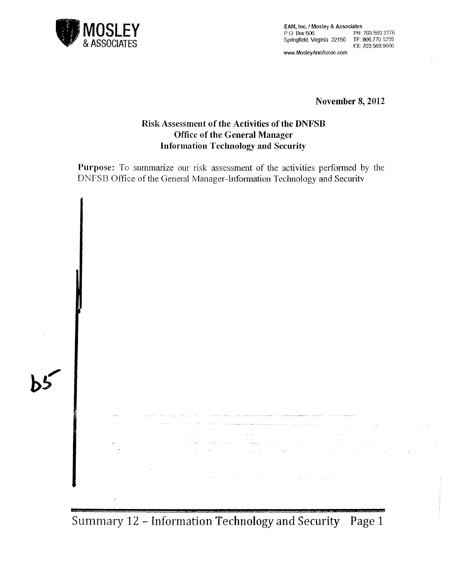![](_page_46_Picture_0.jpeg)

EAM, Inc./ Mosley & Associates P.O. Box 506 PH: 703.569.3176 Springfield, Virginia 22150 TF: 866.770.1255 FX: 703,569.9666

www.MosleyAndAssoc.com

November 8, 2012

#### Risk Assessment of the Activities of the DNFSB Office of the General Manager Information Technology and Security

Purpose: To summarize our risk assessment of the activities performed by the DNFSB Office of the General Manager-Information Technology and Securitv

![](_page_46_Figure_6.jpeg)

Summary 12 - Information Technology and Security Page 1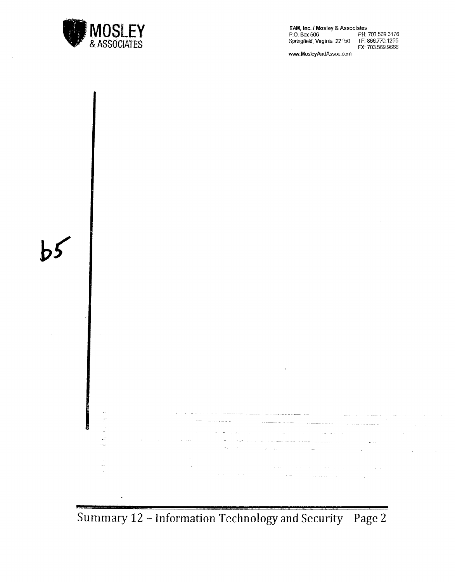![](_page_47_Picture_0.jpeg)

EAM, Inc. / Mosley & Associates<br>P.O. Box 506 PH: 703.569.3176<br>Springfield, Virginia 22150 TF: 866.770.1255 P.O. Box 506 PH: 703.569.3176 Springfield, Virginia 22150 TF: 866.770.1255 FX: 703.569.9666

www.MosleyAndAssoc.com

![](_page_47_Figure_3.jpeg)

Summary 12 - Information Technology and Security Page 2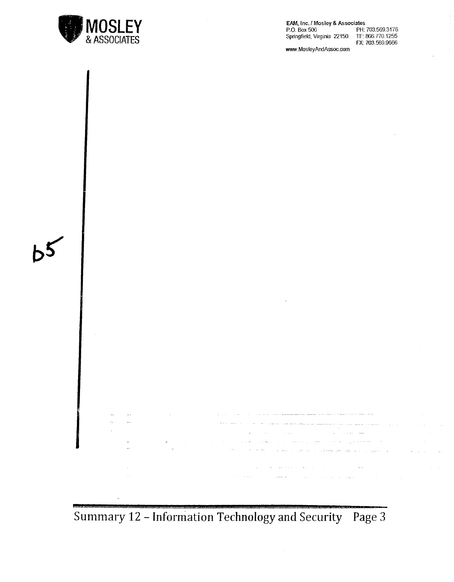![](_page_48_Picture_0.jpeg)

EAM, Inc. / Mosley & Associates P.O. Box 506<br>Springfield, Virginia 22150 PH: 703.569.3176<br>TF: 866.770.1255 FX: 703,569,9666

www.MosleyAndAssoc.com

![](_page_48_Figure_3.jpeg)

Summary 12 - Information Technology and Security Page 3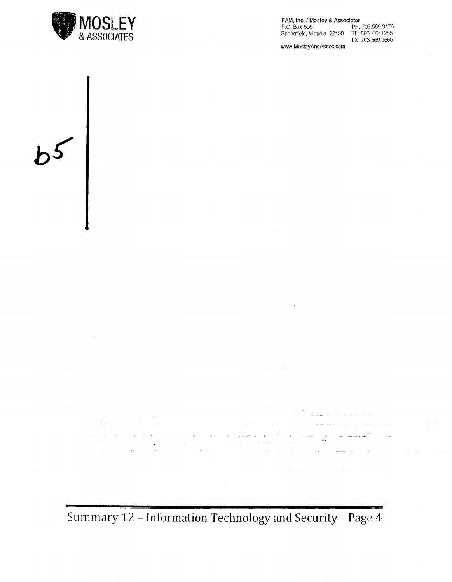![](_page_49_Picture_0.jpeg)

EAM, Inc. / Mosley & Associates<br>P.O. Box 506 PH: 703.569.3176 P.O. Box506 PH: 703.569.3176

Springfield, Virginia 22150 TF: 866.770.1255 FX: 703.569.9666

www.MosleyAndAssoc.com

![](_page_49_Figure_4.jpeg)

![](_page_49_Figure_5.jpeg)

 $\mathcal{L}_{\mathcal{A}}$  , where  $\mathcal{L}_{\mathcal{A}}$  is the contraction of the contraction of

 $\begin{aligned} \frac{1}{\sqrt{2\pi}}\frac{1}{\sqrt{2\pi}}\left(\frac{1}{\sqrt{2\pi}}\right)^{1/2} & = \frac{1}{\sqrt{2\pi}}\frac{1}{\sqrt{2\pi}}\left(\frac{1}{\sqrt{2\pi}}\right)^{1/2} & = \frac{1}{\sqrt{2\pi}}\frac{1}{\sqrt{2\pi}}\left(\frac{1}{\sqrt{2\pi}}\right)^{1/2} & = \frac{1}{\sqrt{2\pi}}\frac{1}{\sqrt{2\pi}}\left(\frac{1}{\sqrt{2\pi}}\right)^{1/2} & = \frac{1}{\sqrt{2\pi}}\frac{1}{\sqrt{2\pi$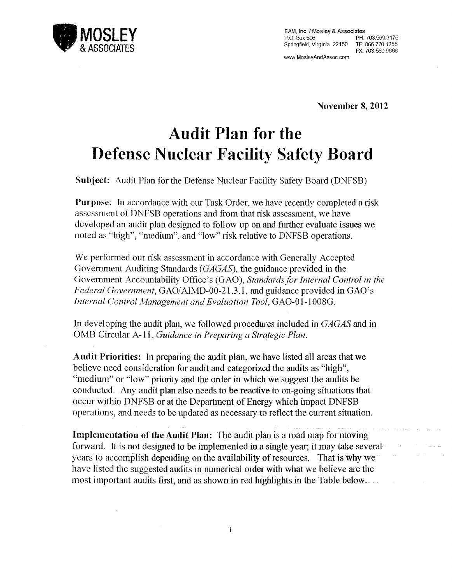![](_page_50_Picture_0.jpeg)

EAM, Inc. / Mosley & Associates<br> $P \cap \text{Box } 506$  PH PH: 703.569.3176 Springfield, Virginia 22150 TF: 866.770.1255 FX: 703.569.9666

www.MosleyAndAssoc.com

November 8, 2012

## **Audit Plan for the Defense Nuclear Facility Safety Board**

Subject: Audit Plan for the Defense Nuclear Facility Safety Board (DNFSB)

Purpose: In accordance with our Task Order, we have recently completed a risk assessment of DNFSB operations and from that risk assessment, we have developed an audit plan designed to follow up on and further evaluate issues we noted as "high", "medium", and "low" risk relative to DNFSB operations.

We performed our risk assessment in accordance with Generally Accepted Government Auditing Standards *(GAGAS),* the guidance provided in the Government Accountability Office's (GAO), *Standards for Internal Control in the Federal Government,* GAO/AIMD-00-21.3.1, and guidance provided in GAO's *Internal Control Management and Evaluation Tool,* GA0-01-1008G.

In developing the audit plan, we followed procedures included in *GAGAS* and in OMB Circular A-11, *Guidance in Preparing a Strategic Plan.* 

Audit Priorities: In preparing the audit plan, we have listed all areas that we believe need consideration for audit and categorized the audits as ''high", "medium" or "low" priority and the order in which we suggest the audits be conducted. Any audit plan also needs to be reactive to on-going situations that occur within DNFSB or at the Department of Energy which impact DNFSB operations, and needs to be updated as necessary to reflect the current situation.

- - - Implementation of the Audit Plan: The audit plan is a road map for moving forward. It is not designed to be implemented in a single year; it may take several years to accomplish depending on the availability of resources. That is why we have listed the suggested audits in numerical order with what we believe are the most important audits first, and as shown in red highlights in the Table below.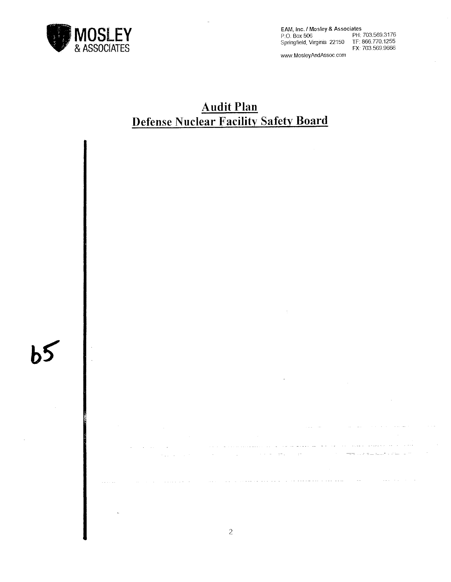![](_page_51_Picture_0.jpeg)

EAM, Inc. / Mosley & Associates<br>P.O. Box 506 PH: 703.569.3176 P\_O\_ Box 506 PH: 703.569.3176 Springfield, Virginia 22150 TF: 866.770.1255 FX: 703.569.9666

www.MosleyAndAssoc.com

#### **Audit Plan Defense Nuclear Facility Safety Board**

![](_page_51_Picture_4.jpeg)

 $\mathcal{A}$  is a set of  $\mathcal{A}$ 

and the control of the control of

كمام ومتعدده وتحديد المنازعين كالمراكب المتعدم مرضور كالتيابي  $\sim$   $\sim$   $\sim$ **All College**  $\sim$  $\mathcal{L}_{\text{max}}$  and the second second second second second second  $\frac{1}{1-\alpha}$  . In the set of  $\alpha$  $\sim$ and the provincial and a  $\sim 10^{-1}$ **Carlo Carl**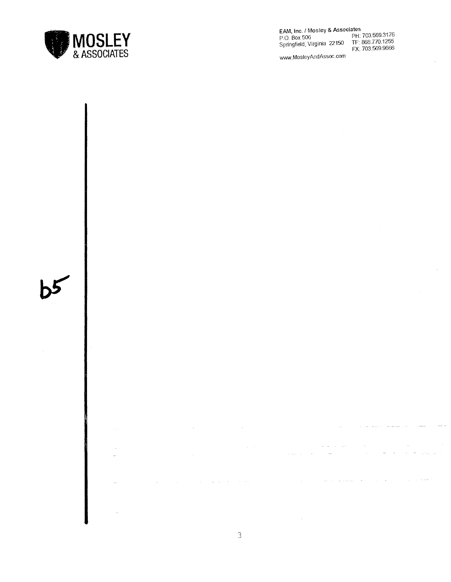![](_page_52_Picture_0.jpeg)

EAM, Inc./ Mosley & Associates P.O. Box 506 PH: 703.569.3176 Springfield, Virginia 22150 TF: 866.770.1255 FX: 703.569.9666

www.MosleyAndAssoc.com

![](_page_52_Picture_3.jpeg)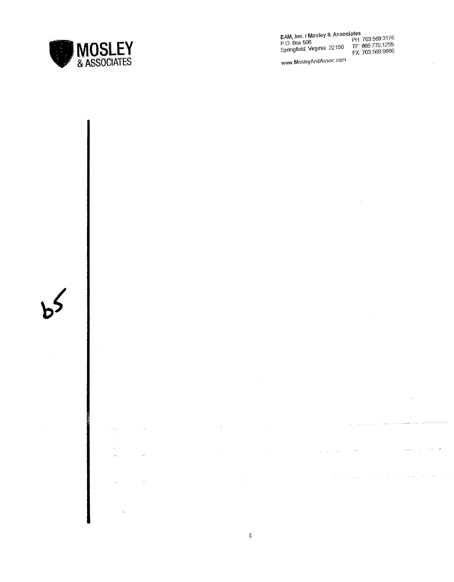![](_page_53_Picture_0.jpeg)

EAM. Inc./ Mosley & Associates P 0. Box 506 PH: 703.569.3176 Springfield, Virginia 22150 F.F. 886.770.1255

WWN.MosleyAndAssoc.com

![](_page_53_Figure_3.jpeg)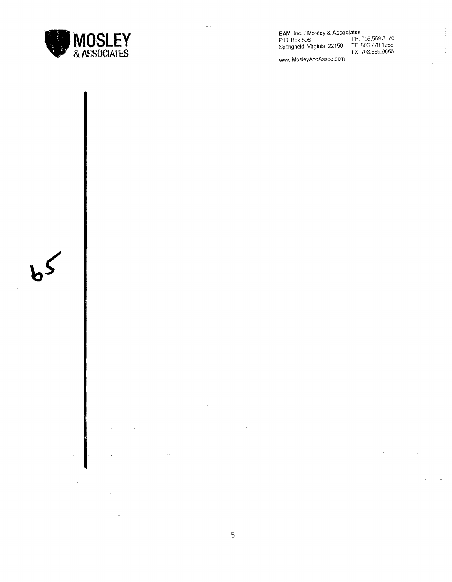![](_page_54_Picture_0.jpeg)

EAM, Inc. / Mosley & Associates<br>P.O. Box 506 PH: The PH: Co. Box 506<br>Springfield, Virginia 22150 FM: 5

rates<br>PH: 703.569.3176<br>TF: 866.770.1255<br>FX: 703.569.9666

www.MosleyAndAssoc.com

![](_page_54_Figure_4.jpeg)